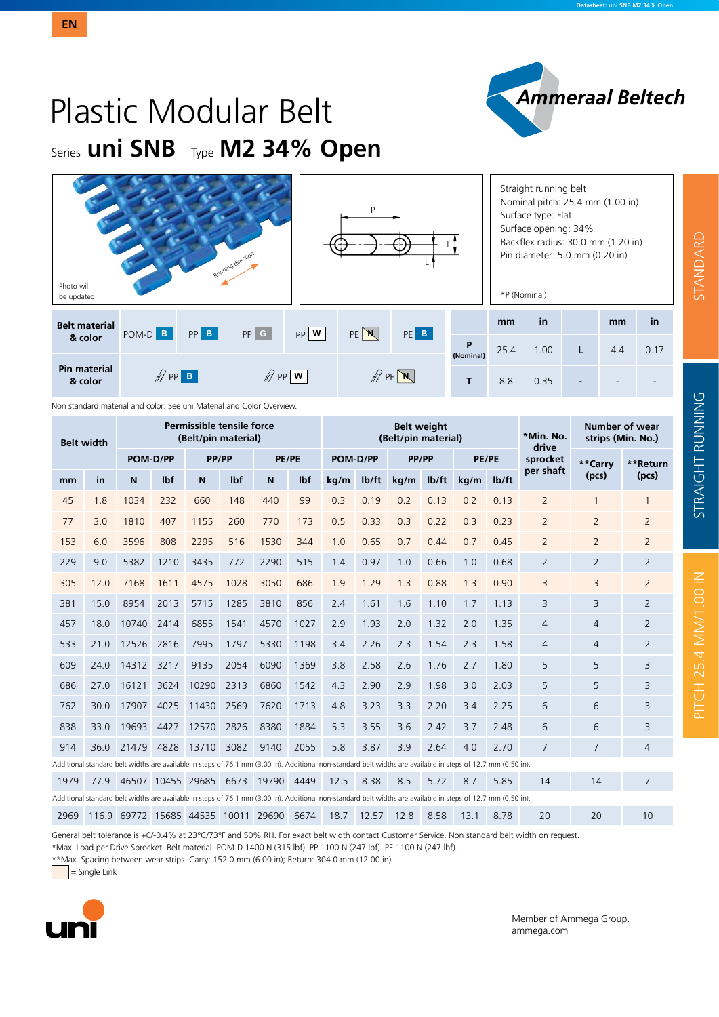# Plastic Modular Belt Series **uni SNB** Type **M2 34% Open**

| Photo will<br>be updated       |                    |          | Running direction |                               | P                                 |                 |                | *P (Nominal) | Straight running belt<br>Nominal pitch: 25.4 mm (1.00 in)<br>Surface type: Flat<br>Surface opening: 34%<br>Backflex radius: 30.0 mm (1.20 in)<br>Pin diameter: 5.0 mm (0.20 in) |   |     |      |
|--------------------------------|--------------------|----------|-------------------|-------------------------------|-----------------------------------|-----------------|----------------|--------------|---------------------------------------------------------------------------------------------------------------------------------------------------------------------------------|---|-----|------|
| <b>Belt material</b>           | POM-D B            | $PP$ $B$ | $PP$ $G$          | $PP$ W                        | $PE$ $N$                          | PE <sup>B</sup> |                | mm           | in                                                                                                                                                                              |   | mm  | in   |
| & color                        |                    |          |                   |                               |                                   |                 | P<br>(Nominal) | 25.4         | 1.00                                                                                                                                                                            | L | 4.4 | 0.17 |
| <b>Pin material</b><br>& color | $\mathscr{D}$ PP B |          |                   | $\mathscr{D}$ PP $\mathsf{w}$ | $\mathbb{Z}$ PE $\mathbb{N}$<br>Т |                 |                |              |                                                                                                                                                                                 |   |     |      |

Non standard material and color: See uni Material and Color Overview.

| Permissible tensile force<br>(Belt/pin material)<br><b>Belt width</b> |      |                                                                                                                                                               |            |       |      |       |      |          |       | <b>Belt weight</b><br>(Belt/pin material) |                    | *Min. No.<br>drive | Number of wear<br>strips (Min. No.) |                |                |                |
|-----------------------------------------------------------------------|------|---------------------------------------------------------------------------------------------------------------------------------------------------------------|------------|-------|------|-------|------|----------|-------|-------------------------------------------|--------------------|--------------------|-------------------------------------|----------------|----------------|----------------|
|                                                                       |      | POM-D/PP                                                                                                                                                      |            | PP/PP |      | PE/PE |      | POM-D/PP |       | PP/PP                                     |                    | <b>PE/PE</b>       |                                     | sprocket       | **Carry        | **Return       |
| mm                                                                    | in   | N                                                                                                                                                             | <b>Ibf</b> | N     | lbf  | N     | lbf  | kg/m     | lb/ft | kg/m                                      | I <sub>b</sub> /ft | kg/m               | lb/ft                               | per shaft      | (pcs)          | (pcs)          |
| 45                                                                    | 1.8  | 1034                                                                                                                                                          | 232        | 660   | 148  | 440   | 99   | 0.3      | 0.19  | 0.2                                       | 0.13               | 0.2                | 0.13                                | $\overline{2}$ | 1              | $\mathbf{1}$   |
| 77                                                                    | 3.0  | 1810                                                                                                                                                          | 407        | 1155  | 260  | 770   | 173  | 0.5      | 0.33  | 0.3                                       | 0.22               | 0.3                | 0.23                                | 2              | $\overline{2}$ | $\overline{2}$ |
| 153                                                                   | 6.0  | 3596                                                                                                                                                          | 808        | 2295  | 516  | 1530  | 344  | 1.0      | 0.65  | 0.7                                       | 0.44               | 0.7                | 0.45                                | $\overline{2}$ | $\overline{2}$ | $\overline{2}$ |
| 229                                                                   | 9.0  | 5382                                                                                                                                                          | 1210       | 3435  | 772  | 2290  | 515  | 1.4      | 0.97  | 1.0                                       | 0.66               | 1.0                | 0.68                                | $\overline{2}$ | $\overline{2}$ | $\overline{2}$ |
| 305                                                                   | 12.0 | 7168                                                                                                                                                          | 1611       | 4575  | 1028 | 3050  | 686  | 1.9      | 1.29  | 1.3                                       | 0.88               | 1.3                | 0.90                                | 3              | 3              | $\overline{2}$ |
| 381                                                                   | 15.0 | 8954                                                                                                                                                          | 2013       | 5715  | 1285 | 3810  | 856  | 2.4      | 1.61  | 1.6                                       | 1.10               | 1.7                | 1.13                                | 3              | 3              | $\overline{2}$ |
| 457                                                                   | 18.0 | 10740                                                                                                                                                         | 2414       | 6855  | 1541 | 4570  | 1027 | 2.9      | 1.93  | 2.0                                       | 1.32               | 2.0                | 1.35                                | $\overline{4}$ | $\overline{4}$ | $\overline{2}$ |
| 533                                                                   | 21.0 | 12526                                                                                                                                                         | 2816       | 7995  | 1797 | 5330  | 1198 | 3.4      | 2.26  | 2.3                                       | 1.54               | 2.3                | 1.58                                | $\overline{4}$ | $\overline{4}$ | $\overline{2}$ |
| 609                                                                   | 24.0 | 14312                                                                                                                                                         | 3217       | 9135  | 2054 | 6090  | 1369 | 3.8      | 2.58  | 2.6                                       | 1.76               | 2.7                | 1.80                                | 5              | 5              | 3              |
| 686                                                                   | 27.0 | 16121                                                                                                                                                         | 3624       | 10290 | 2313 | 6860  | 1542 | 4.3      | 2.90  | 2.9                                       | 1.98               | 3.0                | 2.03                                | 5              | 5              | 3              |
| 762                                                                   | 30.0 | 17907                                                                                                                                                         | 4025       | 11430 | 2569 | 7620  | 1713 | 4.8      | 3.23  | 3.3                                       | 2.20               | 3.4                | 2.25                                | 6              | 6              | 3              |
| 838                                                                   | 33.0 | 19693                                                                                                                                                         | 4427       | 12570 | 2826 | 8380  | 1884 | 5.3      | 3.55  | 3.6                                       | 2.42               | 3.7                | 2.48                                | 6              | 6              | 3              |
| 914                                                                   | 36.0 | 21479                                                                                                                                                         | 4828       | 13710 | 3082 | 9140  | 2055 | 5.8      | 3.87  | 3.9                                       | 2.64               | 4.0                | 2.70                                | 7              | 7              | $\overline{4}$ |
|                                                                       |      | Additional standard belt widths are available in steps of 76.1 mm (3.00 in). Additional non-standard belt widths are available in steps of 12.7 mm (0.50 in). |            |       |      |       |      |          |       |                                           |                    |                    |                                     |                |                |                |
| 1979                                                                  | 77.9 | 46507 10455 29685                                                                                                                                             |            |       | 6673 | 19790 | 4449 | 12.5     | 8.38  | 8.5                                       | 5.72               | 8.7                | 5.85                                | 14             | 14             | 7              |
|                                                                       |      | Additional standard belt widths are available in steps of 76.1 mm (3.00 in). Additional non-standard belt widths are available in steps of 12.7 mm (0.50 in). |            |       |      |       |      |          |       |                                           |                    |                    |                                     |                |                |                |
| 2969                                                                  |      | 116.9 69772 15685 44535 10011 29690                                                                                                                           |            |       |      |       | 6674 | 18.7     | 12.57 | 12.8                                      | 8.58               | 13.1               | 8.78                                | 20             | 20             | 10             |

General belt tolerance is +0/-0.4% at 23°C/73°F and 50% RH. For exact belt width contact Customer Service. Non standard belt width on request.

\*Max. Load per Drive Sprocket. Belt material: POM-D 1400 N (315 lbf). PP 1100 N (247 lbf). PE 1100 N (247 lbf).

\*\*Max. Spacing between wear strips. Carry: 152.0 mm (6.00 in); Return: 304.0 mm (12.00 in).

 $=$  Single Link



Member of Ammega Group. ammega.com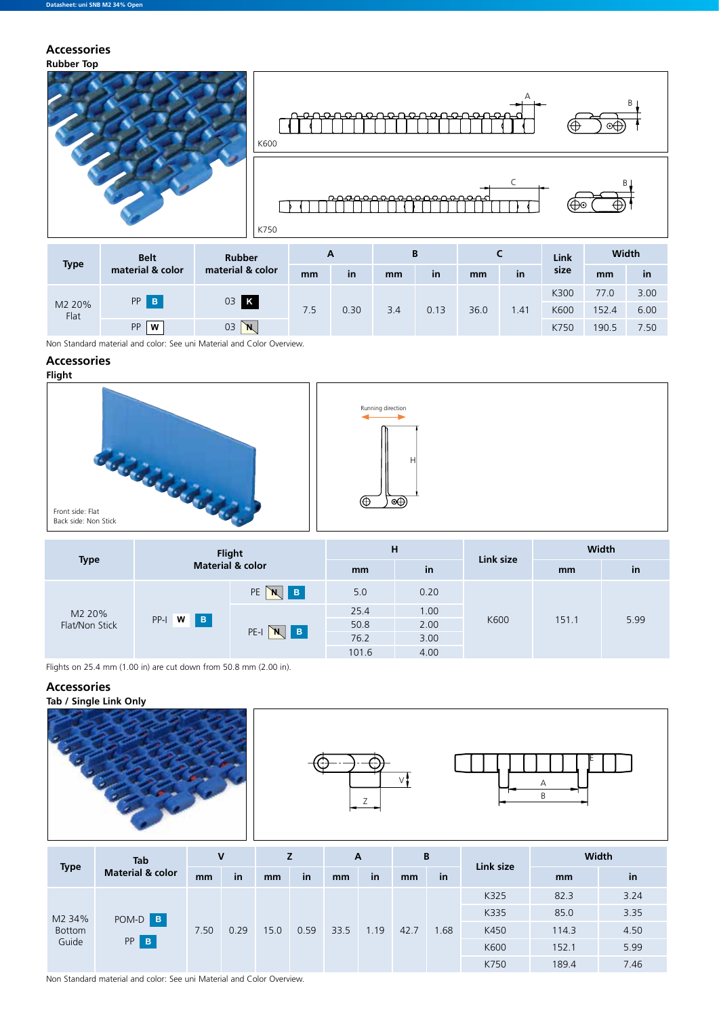### **Rubber Top Accessories**



| <b>Type</b>    | <b>Belt</b>      | <b>Rubber</b>    | A   |      |     | B         |      |           | Link | Width |      |
|----------------|------------------|------------------|-----|------|-----|-----------|------|-----------|------|-------|------|
|                | material & color | material & color | mm  | in   | mm  | <b>in</b> | mm   | <b>in</b> | size | mm    | in   |
| M2 20%<br>Flat | PP B             |                  |     |      |     |           | 36.0 |           | K300 | 77.0  | 3.00 |
|                |                  | 03 K             | 7.5 | 0.30 | 3.4 | 0.13      |      | .41       | K600 | 152.4 | 6.00 |
|                | PP<br>W          | 03<br>`N,        |     |      |     |           |      |           | K750 | 190.5 | 7.50 |

Non Standard material and color: See uni Material and Color Overview.

# **Accessories**



|                          |                          | <b>Flight</b>                     | H     |      | Link size | Width |      |  |  |
|--------------------------|--------------------------|-----------------------------------|-------|------|-----------|-------|------|--|--|
| <b>Type</b>              |                          | <b>Material &amp; color</b>       | mm    | in   |           | mm    | in   |  |  |
|                          |                          | PE<br>$\, {\bf B} \,$<br><b>N</b> | 5.0   | 0.20 |           |       |      |  |  |
| M2 20%<br>Flat/Non Stick |                          |                                   | 25.4  | 1.00 |           | 151.1 |      |  |  |
|                          | $\overline{B}$<br>PP-I W | PE-I                              | 50.8  | 2.00 | K600      |       | 5.99 |  |  |
|                          |                          | Iв.<br>N                          | 76.2  | 3.00 |           |       |      |  |  |
|                          |                          |                                   | 101.6 | 4.00 |           |       |      |  |  |

Flights on 25.4 mm (1.00 in) are cut down from 50.8 mm (2.00 in).

# **Accessories**







| <b>Type</b>   | <b>Tab</b>                  | V    |      | z    |      | A    |      | B    |      | Link size | <b>Width</b> |      |  |
|---------------|-----------------------------|------|------|------|------|------|------|------|------|-----------|--------------|------|--|
|               | <b>Material &amp; color</b> | mm   | in   | mm   | in   | mm   | in   | mm   | in   |           | mm           | in   |  |
|               |                             |      |      |      |      |      |      |      |      | K325      | 82.3         | 3.24 |  |
| M2 34%        | POM-D B<br>PP<br>$\,$ B     |      |      |      | 0.59 | 33.5 | 1.19 | 42.7 |      | K335      | 85.0         | 3.35 |  |
| <b>Bottom</b> |                             | 7.50 | 0.29 | 15.0 |      |      |      |      | 1.68 | K450      | 114.3        | 4.50 |  |
| Guide         |                             |      |      |      |      |      |      |      |      | K600      | 152.1        | 5.99 |  |
|               |                             |      |      |      |      |      |      |      |      | K750      | 189.4        | 7.46 |  |

Non Standard material and color: See uni Material and Color Overview.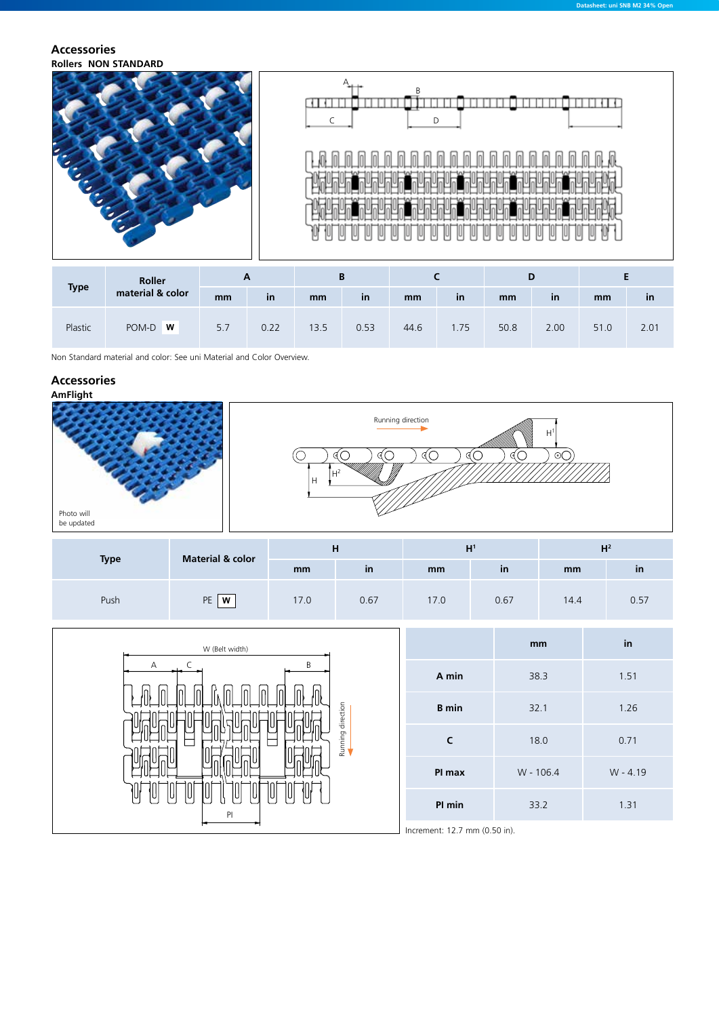### **Rollers NON STANDARD Accessories**



| <b>Type</b> | Roller           | r   |           |      |      |      |     |      |           |      |              |
|-------------|------------------|-----|-----------|------|------|------|-----|------|-----------|------|--------------|
|             | material & color | mm  | <b>in</b> | mm   | in   | mm   | in  | mm   | <i>in</i> | mm   | $\mathsf{m}$ |
| Plastic     | POM-D <b>W</b>   | 5.7 | 0.22      | 13.5 | 0.53 | 44.6 | .75 | 50.8 | 2.00      | 51.0 | 2.01         |

Non Standard material and color: See uni Material and Color Overview.

# **Accessories**



| <b>Type</b> | <b>Material &amp; color</b> |      | н    |      | шr<br>п      | 112<br>п |               |  |
|-------------|-----------------------------|------|------|------|--------------|----------|---------------|--|
|             |                             | mm   | in   | mm   | $\mathsf{I}$ | mm       | <sub>in</sub> |  |
| Push        | PE<br>W                     | 17.0 | 0.67 | 17.0 | 0.67         | 14.4     | 0.57          |  |

| W (Belt width)       |                               | mm        | in         |
|----------------------|-------------------------------|-----------|------------|
| R<br>A               | A min                         | 38.3      | 1.51       |
| 'n<br>n<br>direction | <b>B</b> min                  | 32.1      | 1.26       |
| Running              |                               | 18.0      | 0.71       |
|                      | PI max                        | W - 106.4 | $W - 4.19$ |
| 1U)<br>IU<br>PI      | PI min                        | 33.2      | 1.31       |
|                      | Increment: 12.7 mm (0.50 in). |           |            |